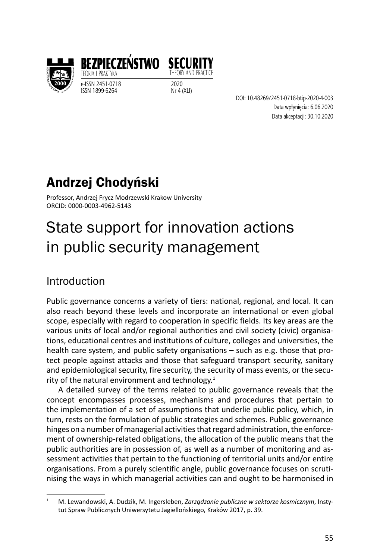

TEORIA I PRAKTYK e-ISSN 2451-0718<br>ISSN 1899-6264 2020 Nr 4 (XLI) ISSN 1899-6264



DOI: 10.48269/2451-0718-btip-2020-4-003 Data wpłynięcia: 6.06.2020 Data akceptacji: 30.10.2020

# Andrzej Chodyński

Professor, Andrzej Frycz Modrzewski Krakow University ORCID: 0000-0003-4962-5143

# State support for innovation actions in public security management

# Introduction

Public governance concerns a variety of tiers: national, regional, and local. It can also reach beyond these levels and incorporate an international or even global scope, especially with regard to cooperation in specific fields. Its key areas are the various units of local and/or regional authorities and civil society (civic) organisations, educational centres and institutions of culture, colleges and universities, the health care system, and public safety organisations – such as e.g. those that protect people against attacks and those that safeguard transport security, sanitary and epidemiological security, fire security, the security of mass events, or the security of the natural environment and technology. $1$ 

A detailed survey of the terms related to public governance reveals that the concept encompasses processes, mechanisms and procedures that pertain to the implementation of a set of assumptions that underlie public policy, which, in turn, rests on the formulation of public strategies and schemes. Public governance hinges on a number of managerial activities that regard administration, the enforcement of ownership-related obligations, the allocation of the public means that the public authorities are in possession of, as well as a number of monitoring and assessment activities that pertain to the functioning of territorial units and/or entire organisations. From a purely scientific angle, public governance focuses on scrutinising the ways in which managerial activities can and ought to be harmonised in

<sup>1</sup> M. Lewandowski, A. Dudzik, M. Ingersleben, *Zarządzanie publiczne w sektorze kosmicznym*, Instytut Spraw Publicznych Uniwersytetu Jagiellońskiego, Kraków 2017, p. 39.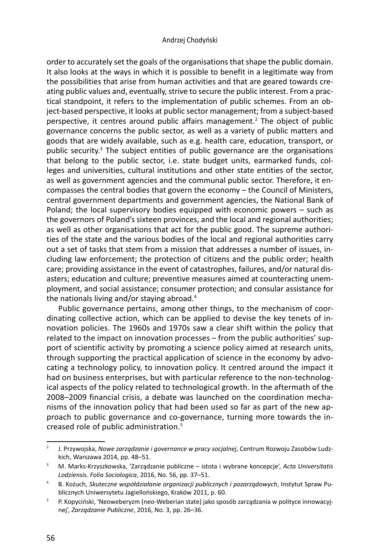#### Andrzej Chodyński

order to accurately set the goals of the organisations that shape the public domain. It also looks at the ways in which it is possible to benefit in a legitimate way from the possibilities that arise from human activities and that are geared towards creating public values and, eventually, strive to secure the public interest. From a practical standpoint, it refers to the implementation of public schemes. From an object-based perspective, it looks at public sector management; from a subject-based perspective, it centres around public affairs management.<sup>2</sup> The object of public governance concerns the public sector, as well as a variety of public matters and goods that are widely available, such as e.g. health care, education, transport, or public security.<sup>3</sup> The subject entities of public governance are the organisations that belong to the public sector, i.e. state budget units, earmarked funds, colleges and universities, cultural institutions and other state entities of the sector, as well as government agencies and the communal public sector. Therefore, it encompasses the central bodies that govern the economy – the Council of Ministers, central government departments and government agencies, the National Bank of Poland; the local supervisory bodies equipped with economic powers – such as the governors of Poland's sixteen provinces, and the local and regional authorities; as well as other organisations that act for the public good. The supreme authorities of the state and the various bodies of the local and regional authorities carry out a set of tasks that stem from a mission that addresses a number of issues, including law enforcement; the protection of citizens and the public order; health care; providing assistance in the event of catastrophes, failures, and/or natural disasters; education and culture; preventive measures aimed at counteracting unemployment, and social assistance; consumer protection; and consular assistance for the nationals living and/or staying abroad.<sup>4</sup>

Public governance pertains, among other things, to the mechanism of coordinating collective action, which can be applied to devise the key tenets of innovation policies. The 1960s and 1970s saw a clear shift within the policy that related to the impact on innovation processes – from the public authorities' support of scientific activity by promoting a science policy aimed at research units, through supporting the practical application of science in the economy by advocating a technology policy, to innovation policy. It centred around the impact it had on business enterprises, but with particular reference to the non-technological aspects of the policy related to technological growth. In the aftermath of the 2008–2009 financial crisis, a debate was launched on the coordination mechanisms of the innovation policy that had been used so far as part of the new approach to public governance and co-governance, turning more towards the increased role of public administration.<sup>5</sup>

<sup>2</sup> J. Przywojska, *Nowe zarządzanie i governance w pracy socjalnej*, Centrum Rozwoju Zasobów Ludzkich, Warszawa 2014, pp. 48–51.

<sup>3</sup> M. Marks-Krzyszkowska, 'Zarządzanie publiczne – istota i wybrane koncepcje', *Acta Universitatis Lodziensis. Folia Sociologica*, 2016, No. 56, pp. 37–51.

<sup>4</sup> B. Kożuch, *Skuteczne współdziałanie organizacji publicznych i pozarządowych*, Instytut Spraw Publicznych Uniwersytetu Jagiellońskiego, Kraków 2011, p. 60.

<sup>5</sup> P. Kopyciński, 'Neoweberyzm (neo-Weberian state) jako sposób zarządzania w polityce innowacyjnej', *Zarządzanie Publiczne*, 2016, No. 3, pp. 26–36.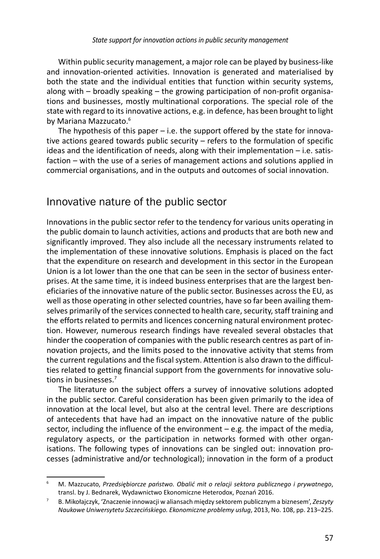Within public security management, a major role can be played by business-like and innovation-oriented activities. Innovation is generated and materialised by both the state and the individual entities that function within security systems, along with – broadly speaking – the growing participation of non-profit organisations and businesses, mostly multinational corporations. The special role of the state with regard to its innovative actions, e.g. in defence, has been brought to light by Mariana Mazzucato.<sup>6</sup>

The hypothesis of this paper  $-$  i.e. the support offered by the state for innovative actions geared towards public security – refers to the formulation of specific ideas and the identification of needs, along with their implementation – i.e. satisfaction – with the use of a series of management actions and solutions applied in commercial organisations, and in the outputs and outcomes of social innovation.

## Innovative nature of the public sector

Innovations in the public sector refer to the tendency for various units operating in the public domain to launch activities, actions and products that are both new and significantly improved. They also include all the necessary instruments related to the implementation of these innovative solutions. Emphasis is placed on the fact that the expenditure on research and development in this sector in the European Union is a lot lower than the one that can be seen in the sector of business enterprises. At the same time, it is indeed business enterprises that are the largest beneficiaries of the innovative nature of the public sector. Businesses across the EU, as well as those operating in other selected countries, have so far been availing themselves primarily of the services connected to health care, security, staff training and the efforts related to permits and licences concerning natural environment protection. However, numerous research findings have revealed several obstacles that hinder the cooperation of companies with the public research centres as part of innovation projects, and the limits posed to the innovative activity that stems from the current regulations and the fiscal system. Attention is also drawn to the difficulties related to getting financial support from the governments for innovative solutions in businesses.<sup>7</sup>

The literature on the subject offers a survey of innovative solutions adopted in the public sector. Careful consideration has been given primarily to the idea of innovation at the local level, but also at the central level. There are descriptions of antecedents that have had an impact on the innovative nature of the public sector, including the influence of the environment – e.g. the impact of the media, regulatory aspects, or the participation in networks formed with other organisations. The following types of innovations can be singled out: innovation processes (administrative and/or technological); innovation in the form of a product

<sup>6</sup> M. Mazzucato, *Przedsiębiorcze państwo. Obalić mit o relacji sektora publicznego i prywatnego*, transl. by J. Bednarek, Wydawnictwo Ekonomiczne Heterodox, Poznań 2016.

<sup>7</sup> B. Mikołajczyk, 'Znaczenie innowacji w aliansach między sektorem publicznym a biznesem', *Zeszyty Naukowe Uniwersytetu Szczecińskiego. Ekonomiczne problemy usług*, 2013, No. 108, pp. 213–225.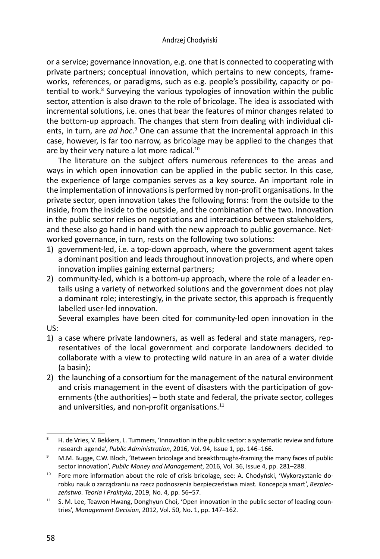or a service; governance innovation, e.g. one that is connected to cooperating with private partners; conceptual innovation, which pertains to new concepts, frameworks, references, or paradigms, such as e.g. people's possibility, capacity or potential to work.<sup>8</sup> Surveying the various typologies of innovation within the public sector, attention is also drawn to the role of bricolage. The idea is associated with incremental solutions, i.e. ones that bear the features of minor changes related to the bottom-up approach. The changes that stem from dealing with individual clients, in turn, are *ad hoc.*<sup>9</sup> One can assume that the incremental approach in this case, however, is far too narrow, as bricolage may be applied to the changes that are by their very nature a lot more radical.<sup>10</sup>

The literature on the subject offers numerous references to the areas and ways in which open innovation can be applied in the public sector. In this case, the experience of large companies serves as a key source. An important role in the implementation of innovations is performed by non-profit organisations. In the private sector, open innovation takes the following forms: from the outside to the inside, from the inside to the outside, and the combination of the two. Innovation in the public sector relies on negotiations and interactions between stakeholders, and these also go hand in hand with the new approach to public governance. Networked governance, in turn, rests on the following two solutions:

- 1) government-led, i.e. a top-down approach, where the government agent takes a dominant position and leads throughout innovation projects, and where open innovation implies gaining external partners;
- 2) community-led, which is a bottom-up approach, where the role of a leader entails using a variety of networked solutions and the government does not play a dominant role; interestingly, in the private sector, this approach is frequently labelled user-led innovation.

Several examples have been cited for community-led open innovation in the US:

- 1) a case where private landowners, as well as federal and state managers, representatives of the local government and corporate landowners decided to collaborate with a view to protecting wild nature in an area of a water divide (a basin);
- 2) the launching of a consortium for the management of the natural environment and crisis management in the event of disasters with the participation of governments (the authorities) – both state and federal, the private sector, colleges and universities, and non-profit organisations.<sup>11</sup>

<sup>&</sup>lt;sup>8</sup> H. de Vries, V. Bekkers, L. Tummers, 'Innovation in the public sector: a systematic review and future research agenda', *Public Administration*, 2016, Vol. 94, Issue 1, pp. 146–166.

<sup>&</sup>lt;sup>9</sup> M.M. Bugge, C.W. Bloch, 'Between bricolage and breakthroughs-framing the many faces of public sector innovation', *Public Money and Management*, 2016, Vol. 36, Issue 4, pp. 281–288.

<sup>&</sup>lt;sup>10</sup> Fore more information about the role of crisis bricolage, see: A. Chodyński, 'Wykorzystanie dorobku nauk o zarządzaniu na rzecz podnoszenia bezpieczeństwa miast*.* Koncepcja smart', *Bezpieczeństwo. Teoria i Praktyka*, 2019, No. 4, pp. 56–57.

<sup>&</sup>lt;sup>11</sup> S. M. Lee, Teawon Hwang, Donghyun Choi, 'Open innovation in the public sector of leading countries', *Management Decision*, 2012, Vol. 50, No. 1, pp. 147–162.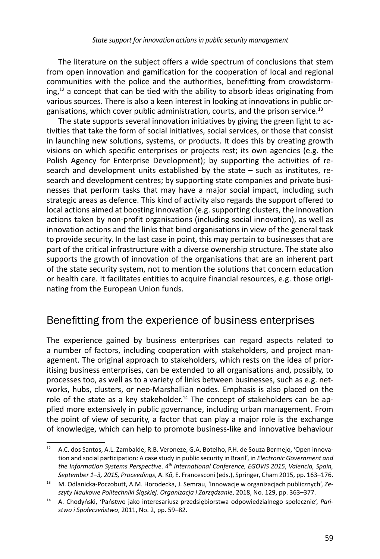The literature on the subject offers a wide spectrum of conclusions that stem from open innovation and gamification for the cooperation of local and regional communities with the police and the authorities, benefitting from crowdstorm $ing<sub>12</sub>$  a concept that can be tied with the ability to absorb ideas originating from various sources. There is also a keen interest in looking at innovations in public organisations, which cover public administration, courts, and the prison service.<sup>13</sup>

The state supports several innovation initiatives by giving the green light to activities that take the form of social initiatives, social services, or those that consist in launching new solutions, systems, or products. It does this by creating growth visions on which specific enterprises or projects rest; its own agencies (e.g. the Polish Agency for Enterprise Development); by supporting the activities of research and development units established by the state – such as institutes, research and development centres; by supporting state companies and private businesses that perform tasks that may have a major social impact, including such strategic areas as defence. This kind of activity also regards the support offered to local actions aimed at boosting innovation (e.g. supporting clusters, the innovation actions taken by non-profit organisations (including social innovation), as well as innovation actions and the links that bind organisations in view of the general task to provide security. In the last case in point, this may pertain to businesses that are part of the critical infrastructure with a diverse ownership structure. The state also supports the growth of innovation of the organisations that are an inherent part of the state security system, not to mention the solutions that concern education or health care. It facilitates entities to acquire financial resources, e.g. those originating from the European Union funds.

## Benefitting from the experience of business enterprises

The experience gained by business enterprises can regard aspects related to a number of factors, including cooperation with stakeholders, and project management. The original approach to stakeholders, which rests on the idea of prioritising business enterprises, can be extended to all organisations and, possibly, to processes too, as well as to a variety of links between businesses, such as e.g. networks, hubs, clusters, or neo-Marshallian nodes. Emphasis is also placed on the role of the state as a key stakeholder.<sup>14</sup> The concept of stakeholders can be applied more extensively in public governance, including urban management. From the point of view of security, a factor that can play a major role is the exchange of knowledge, which can help to promote business-like and innovative behaviour

<sup>&</sup>lt;sup>12</sup> A.C. dos Santos, A.L. Zambalde, R.B. Veroneze, G.A. Botelho, P.H. de Souza Bermejo, 'Open innovation and social participation: A case study in public security in Brazil', in *Electronic Government and the Information Systems Perspective*. *4th International Conference, EGOVIS 2015*, *Valencia, Spain,* 

*September 1–3, 2015, Proceedings*, A. Kő, E. Francesconi (eds.), Springer, Cham 2015, pp. 163–176. 13 M. Odlanicka-Poczobutt, A.M. Horodecka, J. Semrau, 'Innowacje w organizacjach publicznych', *Zeszyty Naukowe Politechniki Śląskiej. Organizacja i Zarządzanie*, 2018, No. 129, pp. 363–377.

<sup>14</sup> A. Chodyński, 'Państwo jako interesariusz przedsiębiorstwa odpowiedzialnego społecznie', *Państwo i Społeczeństwo*, 2011, No. 2, pp. 59–82.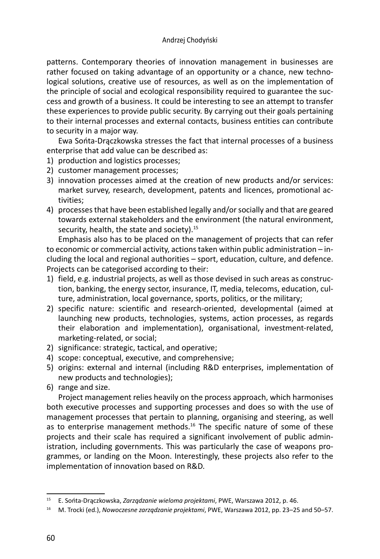#### Andrzej Chodyński

patterns. Contemporary theories of innovation management in businesses are rather focused on taking advantage of an opportunity or a chance, new technological solutions, creative use of resources, as well as on the implementation of the principle of social and ecological responsibility required to guarantee the success and growth of a business. It could be interesting to see an attempt to transfer these experiences to provide public security. By carrying out their goals pertaining to their internal processes and external contacts, business entities can contribute to security in a major way.

Ewa Sońta-Drączkowska stresses the fact that internal processes of a business enterprise that add value can be described as:

- 1) production and logistics processes;
- 2) customer management processes;
- 3) innovation processes aimed at the creation of new products and/or services: market survey, research, development, patents and licences, promotional activities;
- 4) processes that have been established legally and/or socially and that are geared towards external stakeholders and the environment (the natural environment, security, health, the state and society).<sup>15</sup>

Emphasis also has to be placed on the management of projects that can refer to economic or commercial activity, actions taken within public administration – including the local and regional authorities – sport, education, culture, and defence. Projects can be categorised according to their:

- 1) field, e.g. industrial projects, as well as those devised in such areas as construction, banking, the energy sector, insurance, IT, media, telecoms, education, culture, administration, local governance, sports, politics, or the military;
- 2) specific nature: scientific and research-oriented, developmental (aimed at launching new products, technologies, systems, action processes, as regards their elaboration and implementation), organisational, investment-related, marketing-related, or social;
- 2) significance: strategic, tactical, and operative;
- 4) scope: conceptual, executive, and comprehensive;
- 5) origins: external and internal (including R&D enterprises, implementation of new products and technologies);
- 6) range and size.

Project management relies heavily on the process approach, which harmonises both executive processes and supporting processes and does so with the use of management processes that pertain to planning, organising and steering, as well as to enterprise management methods.<sup>16</sup> The specific nature of some of these projects and their scale has required a significant involvement of public administration, including governments. This was particularly the case of weapons programmes, or landing on the Moon. Interestingly, these projects also refer to the implementation of innovation based on R&D.

<sup>15</sup> E. Sońta-Drączkowska, *Zarządzanie wieloma projektami*, PWE, Warszawa 2012, p. 46. 16 M. Trocki (ed.), *Nowoczesne zarządzanie projektami*, PWE, Warszawa 2012, pp. 23–25 and 50–57.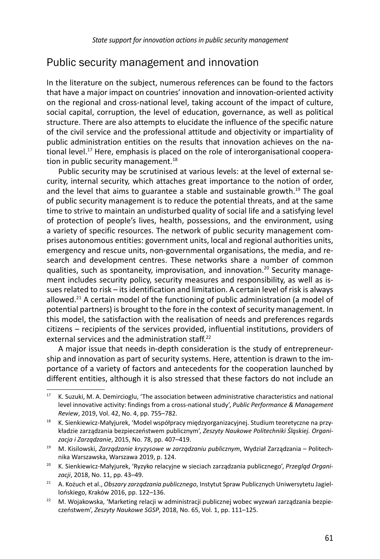## Public security management and innovation

In the literature on the subject, numerous references can be found to the factors that have a major impact on countries' innovation and innovation-oriented activity on the regional and cross-national level, taking account of the impact of culture, social capital, corruption, the level of education, governance, as well as political structure. There are also attempts to elucidate the influence of the specific nature of the civil service and the professional attitude and objectivity or impartiality of public administration entities on the results that innovation achieves on the national level.<sup>17</sup> Here, emphasis is placed on the role of interorganisational cooperation in public security management.<sup>18</sup>

Public security may be scrutinised at various levels: at the level of external security, internal security, which attaches great importance to the notion of order, and the level that aims to guarantee a stable and sustainable growth.<sup>19</sup> The goal of public security management is to reduce the potential threats, and at the same time to strive to maintain an undisturbed quality of social life and a satisfying level of protection of people's lives, health, possessions, and the environment, using a variety of specific resources. The network of public security management comprises autonomous entities: government units, local and regional authorities units, emergency and rescue units, non-governmental organisations, the media, and research and development centres. These networks share a number of common qualities, such as spontaneity, improvisation, and innovation.<sup>20</sup> Security management includes security policy, security measures and responsibility, as well as issues related to risk – its identification and limitation. A certain level of risk is always allowed.<sup>21</sup> A certain model of the functioning of public administration (a model of potential partners) is brought to the fore in the context of security management. In this model, the satisfaction with the realisation of needs and preferences regards citizens – recipients of the services provided, influential institutions, providers of external services and the administration staff.<sup>22</sup>

A major issue that needs in-depth consideration is the study of entrepreneurship and innovation as part of security systems. Here, attention is drawn to the importance of a variety of factors and antecedents for the cooperation launched by different entities, although it is also stressed that these factors do not include an

<sup>&</sup>lt;sup>17</sup> K. Suzuki, M. A. Demircioglu, 'The association between administrative characteristics and national level innovative activity: findings from a cross-national study', *Public Performance & Management Review*, 2019, Vol. 42, No. 4, pp. 755–782.

<sup>&</sup>lt;sup>18</sup> K. Sienkiewicz-Małyjurek, 'Model współpracy międzyorganizacyjnej. Studium teoretyczne na przykładzie zarządzania bezpieczeństwem publicznym', *Zeszyty Naukowe Politechniki Śląskiej. Organizacja i Zarządzanie*, 2015, No. 78, pp. 407–419.

<sup>19</sup> M. Kisilowski, *Zarządzanie kryzysowe w zarządzaniu publicznym*, Wydział Zarządzania – Politechnika Warszawska, Warszawa 2019, p. 124. 20 K. Sienkiewicz-Małyjurek, 'Ryzyko relacyjne w sieciach zarządzania publicznego', *Przegląd Organi-*

*zacji*, 2018, No. 11, pp. 43–49.

<sup>21</sup> A. Kożuch et al., *Obszary zarządzania publicznego*, Instytut Spraw Publicznych Uniwersytetu Jagiellońskiego, Kraków 2016, pp. 122–136.

<sup>&</sup>lt;sup>22</sup> M. Wojakowska, 'Marketing relacji w administracji publicznej wobec wyzwań zarządzania bezpieczeństwem', *Zeszyty Naukowe SGSP*, 2018, No. 65, Vol. 1, pp. 111–125.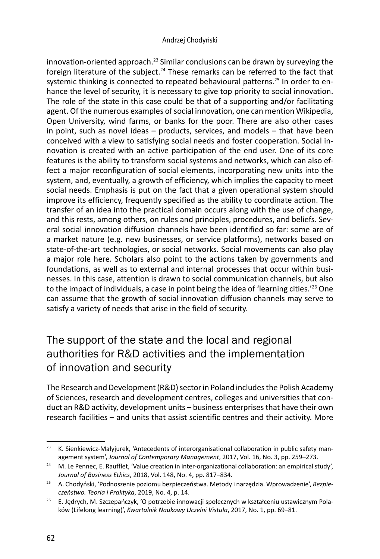innovation-oriented approach.<sup>23</sup> Similar conclusions can be drawn by surveying the foreign literature of the subject.<sup>24</sup> These remarks can be referred to the fact that systemic thinking is connected to repeated behavioural patterns. 25 In order to enhance the level of security, it is necessary to give top priority to social innovation. The role of the state in this case could be that of a supporting and/or facilitating agent. Of the numerous examples of social innovation, one can mention Wikipedia, Open University, wind farms, or banks for the poor. There are also other cases in point, such as novel ideas – products, services, and models – that have been conceived with a view to satisfying social needs and foster cooperation. Social innovation is created with an active participation of the end user. One of its core features is the ability to transform social systems and networks, which can also effect a major reconfiguration of social elements, incorporating new units into the system, and, eventually, a growth of efficiency, which implies the capacity to meet social needs. Emphasis is put on the fact that a given operational system should improve its efficiency, frequently specified as the ability to coordinate action. The transfer of an idea into the practical domain occurs along with the use of change, and this rests, among others, on rules and principles, procedures, and beliefs. Several social innovation diffusion channels have been identified so far: some are of a market nature (e.g. new businesses, or service platforms), networks based on state-of-the-art technologies, or social networks. Social movements can also play a major role here. Scholars also point to the actions taken by governments and foundations, as well as to external and internal processes that occur within businesses. In this case, attention is drawn to social communication channels, but also to the impact of individuals, a case in point being the idea of 'learning cities*.*' 26 One can assume that the growth of social innovation diffusion channels may serve to satisfy a variety of needs that arise in the field of security.

# The support of the state and the local and regional authorities for R&D activities and the implementation of innovation and security

The Research and Development (R&D) sector in Poland includes the Polish Academy of Sciences, research and development centres, colleges and universities that conduct an R&D activity, development units – business enterprises that have their own research facilities – and units that assist scientific centres and their activity. More

<sup>&</sup>lt;sup>23</sup> K. Sienkiewicz-Małyjurek, 'Antecedents of interorganisational collaboration in public safety management system', *Journal of Contemporary Management*, 2017, Vol. 16, No. 3, pp. 259–273.

<sup>&</sup>lt;sup>24</sup> M. Le Pennec, E. Raufflet, 'Value creation in inter-organizational collaboration: an empirical study', *Journal of Business Ethics*, 2018, Vol. 148, No. 4, pp. 817–834.

<sup>25</sup> A. Chodyński, 'Podnoszenie poziomu bezpieczeństwa. Metody i narzędzia. Wprowadzenie', *Bezpie-*

*czeństwo. Teoria i Praktyka*, 2019, No. 4, p. 14. 26 E. Jędrych, M. Szczepańczyk, 'O potrzebie innowacji społecznych w kształceniu ustawicznym Polaków (Lifelong learning)', *Kwartalnik Naukowy Uczelni Vistula*, 2017, No. 1, pp. 69–81.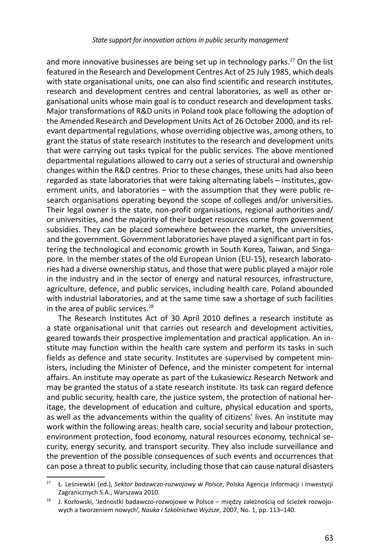and more innovative businesses are being set up in technology parks.<sup>27</sup> On the list featured in the Research and Development Centres Act of 25 July 1985, which deals with state organisational units, one can also find scientific and research institutes, research and development centres and central laboratories, as well as other organisational units whose main goal is to conduct research and development tasks. Major transformations of R&D units in Poland took place following the adoption of the Amended Research and Development Units Act of 26 October 2000, and its relevant departmental regulations, whose overriding objective was, among others, to grant the status of state research institutes to the research and development units that were carrying out tasks typical for the public services. The above mentioned departmental regulations allowed to carry out a series of structural and ownership changes within the R&D centres. Prior to these changes, these units had also been regarded as state laboratories that were taking alternating labels – institutes, government units, and laboratories – with the assumption that they were public research organisations operating beyond the scope of colleges and/or universities. Their legal owner is the state, non-profit organisations, regional authorities and/ or universities, and the majority of their budget resources come from government subsidies. They can be placed somewhere between the market, the universities, and the government. Government laboratories have played a significant part in fostering the technological and economic growth in South Korea, Taiwan, and Singapore. In the member states of the old European Union (EU-15), research laboratories had a diverse ownership status, and those that were public played a major role in the industry and in the sector of energy and natural resources, infrastructure, agriculture, defence, and public services, including health care. Poland abounded with industrial laboratories, and at the same time saw a shortage of such facilities in the area of public services.<sup>28</sup>

The Research Institutes Act of 30 April 2010 defines a research institute as a state organisational unit that carries out research and development activities, geared towards their prospective implementation and practical application. An institute may function within the health care system and perform its tasks in such fields as defence and state security. Institutes are supervised by competent ministers, including the Minister of Defence, and the minister competent for internal affairs. An institute may operate as part of the Łukasiewicz Research Network and may be granted the status of a state research institute. Its task can regard defence and public security, health care, the justice system, the protection of national heritage, the development of education and culture, physical education and sports, as well as the advancements within the quality of citizens' lives. An institute may work within the following areas: health care, social security and labour protection, environment protection, food economy, natural resources economy, technical security, energy security, and transport security. They also include surveillance and the prevention of the possible consequences of such events and occurrences that can pose a threat to public security, including those that can cause natural disasters

<sup>27</sup> Ł. Leśniewski (ed.), *Sektor badawczo-rozwojowy w Polsce*, Polska Agencja Informacji i Inwestycji Zagranicznych S.A., Warszawa 2010.

<sup>&</sup>lt;sup>28</sup> J. Kozłowski, 'Jednostki badawczo-rozwojowe w Polsce – między zależnością od ścieżek rozwojowych a tworzeniem nowych', *Nauka i Szkolnictwo Wyższe*, 2007, No. 1, pp. 113–140.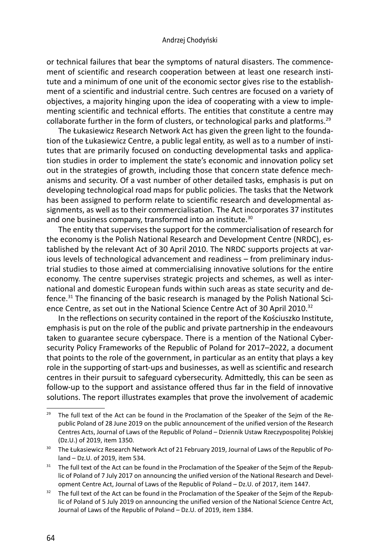or technical failures that bear the symptoms of natural disasters. The commencement of scientific and research cooperation between at least one research institute and a minimum of one unit of the economic sector gives rise to the establishment of a scientific and industrial centre. Such centres are focused on a variety of objectives, a majority hinging upon the idea of cooperating with a view to implementing scientific and technical efforts. The entities that constitute a centre may collaborate further in the form of clusters, or technological parks and platforms.<sup>29</sup>

The Łukasiewicz Research Network Act has given the green light to the foundation of the Łukasiewicz Centre, a public legal entity, as well as to a number of institutes that are primarily focused on conducting developmental tasks and application studies in order to implement the state's economic and innovation policy set out in the strategies of growth, including those that concern state defence mechanisms and security. Of a vast number of other detailed tasks, emphasis is put on developing technological road maps for public policies. The tasks that the Network has been assigned to perform relate to scientific research and developmental assignments, as well as to their commercialisation. The Act incorporates 37 institutes and one business company, transformed into an institute.<sup>30</sup>

The entity that supervises the support for the commercialisation of research for the economy is the Polish National Research and Development Centre (NRDC), established by the relevant Act of 30 April 2010. The NRDC supports projects at various levels of technological advancement and readiness – from preliminary industrial studies to those aimed at commercialising innovative solutions for the entire economy. The centre supervises strategic projects and schemes, as well as international and domestic European funds within such areas as state security and defence.31 The financing of the basic research is managed by the Polish National Science Centre, as set out in the National Science Centre Act of 30 April 2010.<sup>32</sup>

In the reflections on security contained in the report of the Kościuszko Institute, emphasis is put on the role of the public and private partnership in the endeavours taken to guarantee secure cyberspace. There is a mention of the National Cybersecurity Policy Frameworks of the Republic of Poland for 2017–2022, a document that points to the role of the government, in particular as an entity that plays a key role in the supporting of start-ups and businesses, as well as scientific and research centres in their pursuit to safeguard cybersecurity. Admittedly, this can be seen as follow-up to the support and assistance offered thus far in the field of innovative solutions. The report illustrates examples that prove the involvement of academic

 $29$  The full text of the Act can be found in the Proclamation of the Speaker of the Sejm of the Republic Poland of 28 June 2019 on the public announcement of the unified version of the Research Centres Acts, Journal of Laws of the Republic of Poland – Dziennik Ustaw Rzeczypospolitej Polskiej (Dz.U.) of 2019, item 1350.

<sup>&</sup>lt;sup>30</sup> The Łukasiewicz Research Network Act of 21 February 2019, Journal of Laws of the Republic of Poland – Dz.U. of 2019, item 534.

<sup>&</sup>lt;sup>31</sup> The full text of the Act can be found in the Proclamation of the Speaker of the Sejm of the Republic of Poland of 7 July 2017 on announcing the unified version of the National Research and Development Centre Act, Journal of Laws of the Republic of Poland – Dz.U. of 2017, item 1447.

 $32$  The full text of the Act can be found in the Proclamation of the Speaker of the Sejm of the Republic of Poland of 5 July 2019 on announcing the unified version of the National Science Centre Act, Journal of Laws of the Republic of Poland – Dz.U. of 2019, item 1384.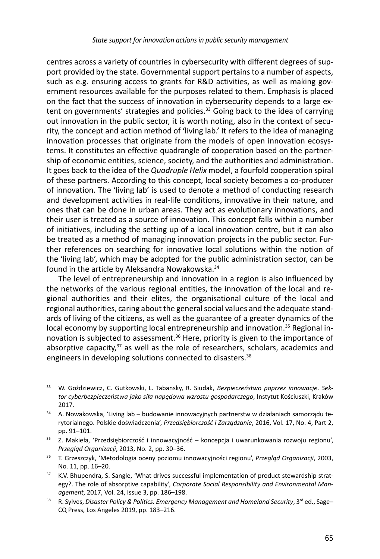centres across a variety of countries in cybersecurity with different degrees of support provided by the state. Governmental support pertains to a number of aspects, such as e.g. ensuring access to grants for R&D activities, as well as making government resources available for the purposes related to them. Emphasis is placed on the fact that the success of innovation in cybersecurity depends to a large extent on governments' strategies and policies.<sup>33</sup> Going back to the idea of carrying out innovation in the public sector, it is worth noting, also in the context of security, the concept and action method of 'living lab.' It refers to the idea of managing innovation processes that originate from the models of open innovation ecosystems. It constitutes an effective quadrangle of cooperation based on the partnership of economic entities, science, society, and the authorities and administration. It goes back to the idea of the *Quadruple Helix* model, a fourfold cooperation spiral of these partners. According to this concept, local society becomes a co-producer of innovation. The 'living lab' is used to denote a method of conducting research and development activities in real-life conditions, innovative in their nature, and ones that can be done in urban areas. They act as evolutionary innovations, and their user is treated as a source of innovation. This concept falls within a number of initiatives, including the setting up of a local innovation centre, but it can also be treated as a method of managing innovation projects in the public sector. Further references on searching for innovative local solutions within the notion of the 'living lab', which may be adopted for the public administration sector, can be found in the article by Aleksandra Nowakowska.<sup>34</sup>

The level of entrepreneurship and innovation in a region is also influenced by the networks of the various regional entities, the innovation of the local and regional authorities and their elites, the organisational culture of the local and regional authorities, caring about the general social values and the adequate standards of living of the citizens, as well as the guarantee of a greater dynamics of the local economy by supporting local entrepreneurship and innovation. $35$  Regional innovation is subjected to assessment.<sup>36</sup> Here, priority is given to the importance of absorptive capacity, $37$  as well as the role of researchers, scholars, academics and engineers in developing solutions connected to disasters.<sup>38</sup>

<sup>33</sup> W. Goździewicz, C. Gutkowski, L. Tabansky, R. Siudak, *Bezpieczeństwo poprzez innowacje*. *Sektor cyberbezpieczeństwa jako siła napędowa wzrostu gospodarczego*, Instytut Kościuszki, Kraków 2017.

<sup>&</sup>lt;sup>34</sup> A. Nowakowska, 'Living lab – budowanie innowacyjnych partnerstw w działaniach samorządu terytorialnego. Polskie doświadczenia', *Przedsiębiorczość i Zarządzanie*, 2016, Vol. 17, No. 4, Part 2, pp. 91–101. 35 Z. Makieła, 'Przedsiębiorczość i innowacyjność – koncepcja i uwarunkowania rozwoju regionu',

*Przegląd Organizacji*, 2013, No. 2, pp. 30–36.

<sup>36</sup> T. Grzeszczyk, 'Metodologia oceny poziomu innowacyjności regionu', *Przegląd Organizacji*, 2003, No. 11, pp. 16–20.

<sup>&</sup>lt;sup>37</sup> K.V. Bhupendra, S. Sangle, 'What drives successful implementation of product stewardship strategy?. The role of absorptive capability', *Corporate Social Responsibility and Environmental Management*, 2017, Vol. 24, Issue 3, pp. 186–198.

<sup>&</sup>lt;sup>38</sup> R. Sylves, Disaster Policy & Politics. Emergency Management and Homeland Security, 3<sup>rd</sup> ed., Sage-CQ Press, Los Angeles 2019, pp. 183–216.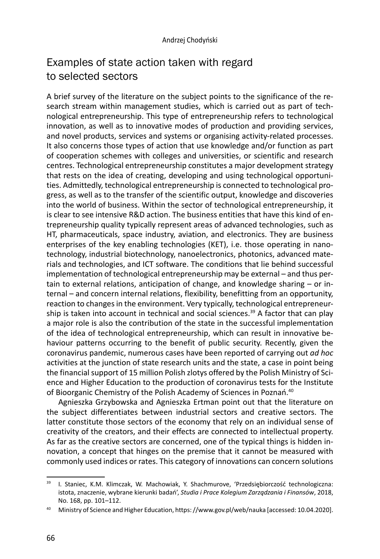# Examples of state action taken with regard to selected sectors

A brief survey of the literature on the subject points to the significance of the research stream within management studies, which is carried out as part of technological entrepreneurship. This type of entrepreneurship refers to technological innovation, as well as to innovative modes of production and providing services, and novel products, services and systems or organising activity-related processes. It also concerns those types of action that use knowledge and/or function as part of cooperation schemes with colleges and universities, or scientific and research centres. Technological entrepreneurship constitutes a major development strategy that rests on the idea of creating, developing and using technological opportunities. Admittedly, technological entrepreneurship is connected to technological progress, as well as to the transfer of the scientific output, knowledge and discoveries into the world of business. Within the sector of technological entrepreneurship, it is clear to see intensive R&D action. The business entities that have this kind of entrepreneurship quality typically represent areas of advanced technologies, such as HT, pharmaceuticals, space industry, aviation, and electronics. They are business enterprises of the key enabling technologies (KET), i.e. those operating in nanotechnology, industrial biotechnology, nanoelectronics, photonics, advanced materials and technologies, and ICT software. The conditions that lie behind successful implementation of technological entrepreneurship may be external – and thus pertain to external relations, anticipation of change, and knowledge sharing  $-$  or internal – and concern internal relations, flexibility, benefitting from an opportunity, reaction to changes in the environment. Very typically, technological entrepreneurship is taken into account in technical and social sciences.<sup>39</sup> A factor that can play a major role is also the contribution of the state in the successful implementation of the idea of technological entrepreneurship, which can result in innovative behaviour patterns occurring to the benefit of public security. Recently, given the coronavirus pandemic, numerous cases have been reported of carrying out *ad hoc* activities at the junction of state research units and the state, a case in point being the financial support of 15 million Polish zlotys offered by the Polish Ministry of Science and Higher Education to the production of coronavirus tests for the Institute of Bioorganic Chemistry of the Polish Academy of Sciences in Poznań.<sup>40</sup>

Agnieszka Grzybowska and Agnieszka Ertman point out that the literature on the subject differentiates between industrial sectors and creative sectors. The latter constitute those sectors of the economy that rely on an individual sense of creativity of the creators, and their effects are connected to intellectual property. As far as the creative sectors are concerned, one of the typical things is hidden innovation, a concept that hinges on the premise that it cannot be measured with commonly used indices or rates. This category of innovations can concern solutions

<sup>&</sup>lt;sup>39</sup> I. Staniec, K.M. Klimczak, W. Machowiak, Y. Shachmurove, 'Przedsiębiorczość technologiczna: istota, znaczenie, wybrane kierunki badań', *Studia i Prace Kolegium Zarządzania i Finansów*, 2018, No. 168, pp. 101–112.

<sup>40</sup> Ministry of Science and Higher Education, https: //www.gov.pl/web/nauka [accessed: 10.04.2020].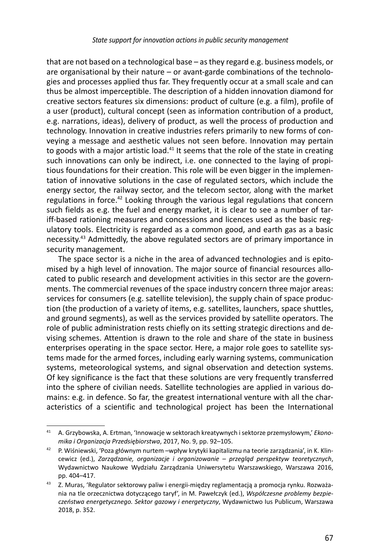that are not based on a technological base – as they regard e.g. business models, or are organisational by their nature – or avant-garde combinations of the technologies and processes applied thus far. They frequently occur at a small scale and can thus be almost imperceptible. The description of a hidden innovation diamond for creative sectors features six dimensions: product of culture (e.g. a film), profile of a user (product), cultural concept (seen as information contribution of a product, e.g. narrations, ideas), delivery of product, as well the process of production and technology. Innovation in creative industries refers primarily to new forms of conveying a message and aesthetic values not seen before. Innovation may pertain to goods with a major artistic load. $41$  It seems that the role of the state in creating such innovations can only be indirect, i.e. one connected to the laying of propitious foundations for their creation. This role will be even bigger in the implementation of innovative solutions in the case of regulated sectors, which include the energy sector, the railway sector, and the telecom sector, along with the market regulations in force.<sup>42</sup> Looking through the various legal regulations that concern such fields as e.g. the fuel and energy market, it is clear to see a number of tariff-based rationing measures and concessions and licences used as the basic regulatory tools. Electricity is regarded as a common good, and earth gas as a basic necessity.43 Admittedly, the above regulated sectors are of primary importance in security management.

The space sector is a niche in the area of advanced technologies and is epitomised by a high level of innovation. The major source of financial resources allocated to public research and development activities in this sector are the governments. The commercial revenues of the space industry concern three major areas: services for consumers (e.g. satellite television), the supply chain of space production (the production of a variety of items, e.g. satellites, launchers, space shuttles, and ground segments), as well as the services provided by satellite operators. The role of public administration rests chiefly on its setting strategic directions and devising schemes. Attention is drawn to the role and share of the state in business enterprises operating in the space sector. Here, a major role goes to satellite systems made for the armed forces, including early warning systems, communication systems, meteorological systems, and signal observation and detection systems. Of key significance is the fact that these solutions are very frequently transferred into the sphere of civilian needs. Satellite technologies are applied in various domains: e.g. in defence. So far, the greatest international venture with all the characteristics of a scientific and technological project has been the International

<sup>41</sup> A. Grzybowska, A. Ertman, 'Innowacje w sektorach kreatywnych i sektorze przemysłowym,' *Ekonomika i Organizacja Przedsiębiorstwa*, 2017, No. 9, pp. 92–105.

<sup>42</sup> P. Wiśniewski, 'Poza głównym nurtem –wpływ krytyki kapitalizmu na teorie zarządzania', in K. Klincewicz (ed.), *Zarządzanie, organizacje i organizowanie – przegląd perspektyw teoretycznych*, Wydawnictwo Naukowe Wydziału Zarządzania Uniwersytetu Warszawskiego, Warszawa 2016, pp. 404–417.

<sup>43</sup> Z. Muras, 'Regulator sektorowy paliw i energii-między reglamentacją a promocja rynku. Rozważania na tle orzecznictwa dotyczącego taryf', in M. Pawełczyk (ed.), *Współczesne problemy bezpieczeństwa energetycznego. Sektor gazowy i energetyczny*, Wydawnictwo Ius Publicum, Warszawa 2018, p. 352.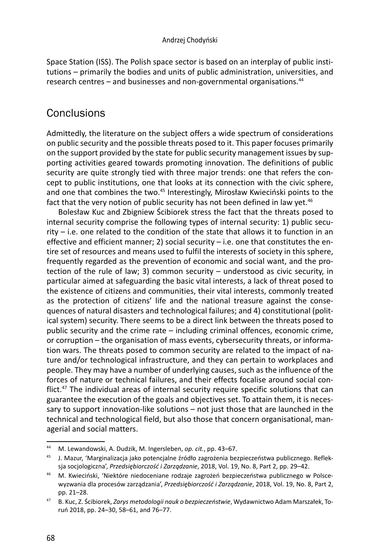Space Station (ISS). The Polish space sector is based on an interplay of public institutions – primarily the bodies and units of public administration, universities, and research centres  $-$  and businesses and non-governmental organisations.<sup>44</sup>

# **Conclusions**

Admittedly, the literature on the subject offers a wide spectrum of considerations on public security and the possible threats posed to it. This paper focuses primarily on the support provided by the state for public security management issues by supporting activities geared towards promoting innovation. The definitions of public security are quite strongly tied with three major trends: one that refers the concept to public institutions, one that looks at its connection with the civic sphere, and one that combines the two.<sup>45</sup> Interestingly, Mirosław Kwieciński points to the fact that the very notion of public security has not been defined in law yet. $46$ 

Bolesław Kuc and Zbigniew Ścibiorek stress the fact that the threats posed to internal security comprise the following types of internal security: 1) public security – i.e. one related to the condition of the state that allows it to function in an effective and efficient manner; 2) social security – i.e. one that constitutes the entire set of resources and means used to fulfil the interests of society in this sphere, frequently regarded as the prevention of economic and social want, and the protection of the rule of law; 3) common security – understood as civic security, in particular aimed at safeguarding the basic vital interests, a lack of threat posed to the existence of citizens and communities, their vital interests, commonly treated as the protection of citizens' life and the national treasure against the consequences of natural disasters and technological failures; and 4) constitutional (political system) security. There seems to be a direct link between the threats posed to public security and the crime rate – including criminal offences, economic crime, or corruption – the organisation of mass events, cybersecurity threats, or information wars. The threats posed to common security are related to the impact of nature and/or technological infrastructure, and they can pertain to workplaces and people. They may have a number of underlying causes, such as the influence of the forces of nature or technical failures, and their effects focalise around social conflict.<sup>47</sup> The individual areas of internal security require specific solutions that can guarantee the execution of the goals and objectives set. To attain them, it is necessary to support innovation-like solutions – not just those that are launched in the technical and technological field, but also those that concern organisational, managerial and social matters.

<sup>44</sup> M. Lewandowski, A. Dudzik, M. Ingersleben, *op. cit.*, pp. 43–67.

<sup>45</sup> J. Mazur, 'Marginalizacja jako potencjalne źródło zagrożenia bezpieczeństwa publicznego. Refleksja socjologiczna', *Przedsiębiorczość i Zarządzanie*, 2018, Vol. 19, No. 8, Part 2, pp. 29–42.

<sup>46</sup> M. Kwieciński, 'Niektóre niedoceniane rodzaje zagrożeń bezpieczeństwa publicznego w Polscewyzwania dla procesów zarządzania', *Przedsiębiorczość i Zarządzanie*, 2018, Vol. 19, No. 8, Part 2, pp. 21–28.

<sup>47</sup> B. Kuc, Z. Ścibiorek, *Zarys metodologii nauk o bezpieczeństwie*, Wydawnictwo Adam Marszałek, Toruń 2018, pp. 24–30, 58–61, and 76–77.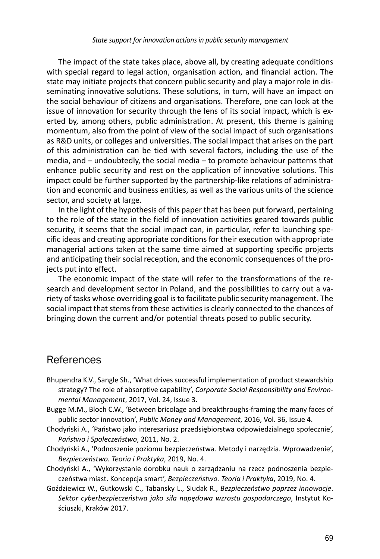The impact of the state takes place, above all, by creating adequate conditions with special regard to legal action, organisation action, and financial action. The state may initiate projects that concern public security and play a major role in disseminating innovative solutions. These solutions, in turn, will have an impact on the social behaviour of citizens and organisations. Therefore, one can look at the issue of innovation for security through the lens of its social impact, which is exerted by, among others, public administration. At present, this theme is gaining momentum, also from the point of view of the social impact of such organisations as R&D units, or colleges and universities. The social impact that arises on the part of this administration can be tied with several factors, including the use of the media, and – undoubtedly, the social media – to promote behaviour patterns that enhance public security and rest on the application of innovative solutions. This impact could be further supported by the partnership-like relations of administration and economic and business entities, as well as the various units of the science sector, and society at large.

In the light of the hypothesis of this paper that has been put forward, pertaining to the role of the state in the field of innovation activities geared towards public security, it seems that the social impact can, in particular, refer to launching specific ideas and creating appropriate conditions for their execution with appropriate managerial actions taken at the same time aimed at supporting specific projects and anticipating their social reception, and the economic consequences of the projects put into effect.

The economic impact of the state will refer to the transformations of the research and development sector in Poland, and the possibilities to carry out a variety of tasks whose overriding goal is to facilitate public security management. The social impact that stems from these activities is clearly connected to the chances of bringing down the current and/or potential threats posed to public security.

### References

- Bhupendra K.V., Sangle Sh., 'What drives successful implementation of product stewardship strategy? The role of absorptive capability', *Corporate Social Responsibility and Environmental Management*, 2017, Vol. 24, Issue 3.
- Bugge M.M., Bloch C.W., 'Between bricolage and breakthroughs-framing the many faces of public sector innovation', *Public Money and Management*, 2016, Vol. 36, Issue 4.
- Chodyński A., 'Państwo jako interesariusz przedsiębiorstwa odpowiedzialnego społecznie', *Państwo i Społeczeństwo*, 2011, No. 2.
- Chodyński A., 'Podnoszenie poziomu bezpieczeństwa. Metody i narzędzia. Wprowadzenie', *Bezpieczeństwo. Teoria i Praktyka*, 2019, No. 4.
- Chodyński A., 'Wykorzystanie dorobku nauk o zarządzaniu na rzecz podnoszenia bezpieczeństwa miast. Koncepcja smart', *Bezpieczeństwo. Teoria i Praktyka*, 2019, No. 4.
- Goździewicz W., Gutkowski C., Tabansky L., Siudak R., *Bezpieczeństwo poprzez innowacje*. *Sektor cyberbezpieczeństwa jako siła napędowa wzrostu gospodarczego*, Instytut Kościuszki, Kraków 2017.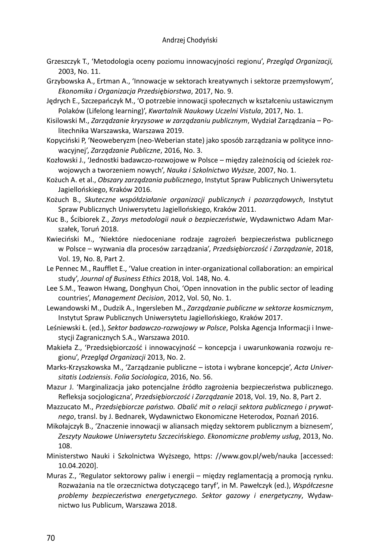- Grzeszczyk T., 'Metodologia oceny poziomu innowacyjności regionu', *Przegląd Organizacji,* 2003, No. 11.
- Grzybowska A., Ertman A., 'Innowacje w sektorach kreatywnych i sektorze przemysłowym', *Ekonomika i Organizacja Przedsiębiorstwa*, 2017, No. 9.
- Jędrych E., Szczepańczyk M., 'O potrzebie innowacji społecznych w kształceniu ustawicznym Polaków (Lifelong learning)', *Kwartalnik Naukowy Uczelni Vistula*, 2017, No. 1.
- Kisilowski M., *Zarządzanie kryzysowe w zarządzaniu publicznym*, Wydział Zarządzania Politechnika Warszawska, Warszawa 2019.
- Kopyciński P, 'Neoweberyzm (neo-Weberian state) jako sposób zarządzania w polityce innowacyjnej', *Zarządzanie Publiczne*, 2016, No. 3.
- Kozłowski J., 'Jednostki badawczo-rozwojowe w Polsce między zależnością od ścieżek rozwojowych a tworzeniem nowych', *Nauka i Szkolnictwo Wyższe*, 2007, No. 1.
- Kożuch A. et al., *Obszary zarządzania publicznego*, Instytut Spraw Publicznych Uniwersytetu Jagiellońskiego, Kraków 2016.
- Kożuch B., *Skuteczne współdziałanie organizacji publicznych i pozarządowych*, Instytut Spraw Publicznych Uniwersytetu Jagiellońskiego, Kraków 2011.
- Kuc B., Ścibiorek Z., *Zarys metodologii nauk o bezpieczeństwie*, Wydawnictwo Adam Marszałek, Toruń 2018.
- Kwieciński M., 'Niektóre niedoceniane rodzaje zagrożeń bezpieczeństwa publicznego w Polsce – wyzwania dla procesów zarządzania', *Przedsiębiorczość i Zarządzanie*, 2018, Vol. 19, No. 8, Part 2.
- Le Pennec M., Raufflet E., 'Value creation in inter-organizational collaboration: an empirical study', *Journal of Business Ethics* 2018, Vol. 148, No. 4.
- Lee S.M., Teawon Hwang, Donghyun Choi, 'Open innovation in the public sector of leading countries', *Management Decision*, 2012, Vol. 50, No. 1.
- Lewandowski M., Dudzik A., Ingersleben M., *Zarządzanie publiczne w sektorze kosmicznym*, Instytut Spraw Publicznych Uniwersytetu Jagiellońskiego, Kraków 2017.
- Leśniewski Ł. (ed.), *Sektor badawczo-rozwojowy w Polsce*, Polska Agencja Informacji i Inwestycji Zagranicznych S.A., Warszawa 2010.
- Makieła Z., 'Przedsiębiorczość i innowacyjność koncepcja i uwarunkowania rozwoju regionu', *Przegląd Organizacji* 2013, No. 2.
- Marks-Krzyszkowska M., 'Zarządzanie publiczne istota i wybrane koncepcje', *Acta Universitatis Lodziensis*. *Folia Sociologica*, 2016, No. 56.
- Mazur J. 'Marginalizacja jako potencjalne źródło zagrożenia bezpieczeństwa publicznego. Refleksja socjologiczna', *Przedsiębiorczość i Zarządzanie* 2018, Vol. 19, No. 8, Part 2.
- Mazzucato M., *Przedsiębiorcze państwo. Obalić mit o relacji sektora publicznego i prywatnego*, transl. by J. Bednarek, Wydawnictwo Ekonomiczne Heterodox, Poznań 2016.
- Mikołajczyk B., 'Znaczenie innowacji w aliansach między sektorem publicznym a biznesem', *Zeszyty Naukowe Uniwersytetu Szczecińskiego. Ekonomiczne problemy usług*, 2013, No. 108.
- Ministerstwo Nauki i Szkolnictwa Wyższego, https: //www.gov.pl/web/nauka [accessed: 10.04.2020].
- Muras Z., 'Regulator sektorowy paliw i energii między reglamentacją a promocją rynku. Rozważania na tle orzecznictwa dotyczącego taryf', in M. Pawełczyk (ed.), *Współczesne problemy bezpieczeństwa energetycznego. Sektor gazowy i energetyczny*, Wydawnictwo Ius Publicum, Warszawa 2018.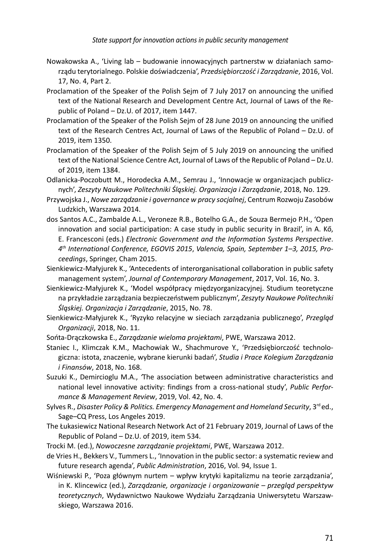- Nowakowska A., 'Living lab budowanie innowacyjnych partnerstw w działaniach samorządu terytorialnego. Polskie doświadczenia', *Przedsiębiorczość i Zarządzanie*, 2016, Vol. 17, No. 4, Part 2.
- Proclamation of the Speaker of the Polish Sejm of 7 July 2017 on announcing the unified text of the National Research and Development Centre Act, Journal of Laws of the Republic of Poland – Dz.U. of 2017, item 1447.
- Proclamation of the Speaker of the Polish Sejm of 28 June 2019 on announcing the unified text of the Research Centres Act, Journal of Laws of the Republic of Poland – Dz.U. of 2019, item 1350.
- Proclamation of the Speaker of the Polish Sejm of 5 July 2019 on announcing the unified text of the National Science Centre Act, Journal of Laws of the Republic of Poland – Dz.U. of 2019, item 1384.
- Odlanicka-Poczobutt M., Horodecka A.M., Semrau J., 'Innowacje w organizacjach publicznych', *Zeszyty Naukowe Politechniki Śląskiej. Organizacja i Zarządzanie*, 2018, No. 129.
- Przywojska J., *Nowe zarządzanie i governance w pracy socjalnej*, Centrum Rozwoju Zasobów Ludzkich, Warszawa 2014.
- dos Santos A.C., Zambalde A.L., Veroneze R.B., Botelho G.A., de Souza Bermejo P.H., 'Open innovation and social participation: A case study in public security in Brazil', in A. Kő, E. Francesconi (eds.) *Electronic Government and the Information Systems Perspective*. *4th International Conference, EGOVIS 2015*, *Valencia, Spain, September 1–3, 2015, Proceedings*, Springer, Cham 2015.
- Sienkiewicz-Małyjurek K., 'Antecedents of interorganisational collaboration in public safety management system', *Journal of Contemporary Management*, 2017, Vol. 16, No. 3.
- Sienkiewicz-Małyjurek K., 'Model współpracy międzyorganizacyjnej. Studium teoretyczne na przykładzie zarządzania bezpieczeństwem publicznym', *Zeszyty Naukowe Politechniki Śląskiej. Organizacja i Zarządzanie*, 2015, No. 78.
- Sienkiewicz-Małyjurek K., 'Ryzyko relacyjne w sieciach zarządzania publicznego', *Przegląd Organizacji*, 2018, No. 11.
- Sońta-Drączkowska E., *Zarządzanie wieloma projektami*, PWE, Warszawa 2012.
- Staniec I., Klimczak K.M., Machowiak W., Shachmurove Y., 'Przedsiębiorczość technologiczna: istota, znaczenie, wybrane kierunki badań', *Studia i Prace Kolegium Zarządzania i Finansów*, 2018, No. 168.
- Suzuki K., Demircioglu M.A., *'*The association between administrative characteristics and national level innovative activity: findings from a cross-national study', *Public Performance & Management Review*, 2019, Vol. 42, No. 4.
- Sylves R., *Disaster Policy & Politics. Emergency Management and Homeland Security*, 3<sup>rd</sup> ed., Sage–CQ Press, Los Angeles 2019.
- The Łukasiewicz National Research Network Act of 21 February 2019, Journal of Laws of the Republic of Poland – Dz.U. of 2019, item 534.
- Trocki M. (ed.), *Nowoczesne zarządzanie projektami*, PWE, Warszawa 2012.
- de Vries H., Bekkers V., Tummers L., 'Innovation in the public sector: a systematic review and future research agenda', *Public Administration*, 2016, Vol. 94, Issue 1.
- Wiśniewski P., 'Poza głównym nurtem wpływ krytyki kapitalizmu na teorie zarządzania', in K. Klincewicz (ed.), *Zarządzanie, organizacje i organizowanie – przegląd perspektyw teoretycznych*, Wydawnictwo Naukowe Wydziału Zarządzania Uniwersytetu Warszawskiego, Warszawa 2016.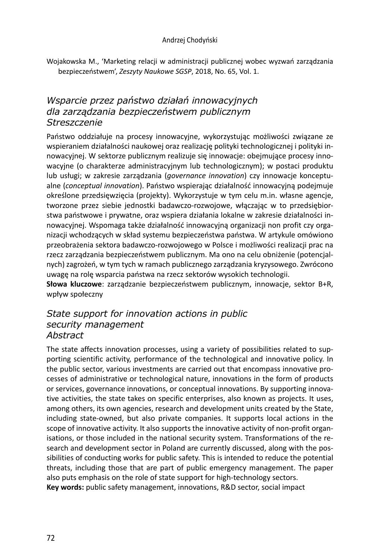#### Andrzej Chodyński

Wojakowska M., 'Marketing relacji w administracji publicznej wobec wyzwań zarządzania bezpieczeństwem', *Zeszyty Naukowe SGSP*, 2018, No. 65, Vol. 1.

### *Wsparcie przez państwo działań innowacyjnych dla zarządzania bezpieczeństwem publicznym Streszczenie*

Państwo oddziałuje na procesy innowacyjne, wykorzystując możliwości związane ze wspieraniem działalności naukowej oraz realizację polityki technologicznej i polityki innowacyjnej. W sektorze publicznym realizuje się innowacje: obejmujące procesy innowacyjne (o charakterze administracyjnym lub technologicznym); w postaci produktu lub usługi; w zakresie zarządzania (*governance innovation*) czy innowacje konceptualne (*conceptual innovation*). Państwo wspierając działalność innowacyjną podejmuje określone przedsięwzięcia (projekty). Wykorzystuje w tym celu m.in. własne agencje, tworzone przez siebie jednostki badawczo-rozwojowe, włączając w to przedsiębiorstwa państwowe i prywatne, oraz wspiera działania lokalne w zakresie działalności innowacyjnej. Wspomaga także działalność innowacyjną organizacji non profit czy organizacji wchodzących w skład systemu bezpieczeństwa państwa. W artykule omówiono przeobrażenia sektora badawczo-rozwojowego w Polsce i możliwości realizacji prac na rzecz zarządzania bezpieczeństwem publicznym. Ma ono na celu obniżenie (potencjalnych) zagrożeń, w tym tych w ramach publicznego zarządzania kryzysowego. Zwrócono uwagę na rolę wsparcia państwa na rzecz sektorów wysokich technologii.

**Słowa kluczowe**: zarządzanie bezpieczeństwem publicznym, innowacje, sektor B+R, wpływ społeczny

#### *State support for innovation actions in public security management Abstract*

The state affects innovation processes, using a variety of possibilities related to supporting scientific activity, performance of the technological and innovative policy. In the public sector, various investments are carried out that encompass innovative processes of administrative or technological nature, innovations in the form of products or services, governance innovations, or conceptual innovations. By supporting innovative activities, the state takes on specific enterprises, also known as projects. It uses, among others, its own agencies, research and development units created by the State, including state-owned, but also private companies. It supports local actions in the scope of innovative activity. It also supports the innovative activity of non-profit organisations, or those included in the national security system. Transformations of the research and development sector in Poland are currently discussed, along with the possibilities of conducting works for public safety. This is intended to reduce the potential threats, including those that are part of public emergency management. The paper also puts emphasis on the role of state support for high-technology sectors. **Key words:** public safety management, innovations, R&D sector, social impact